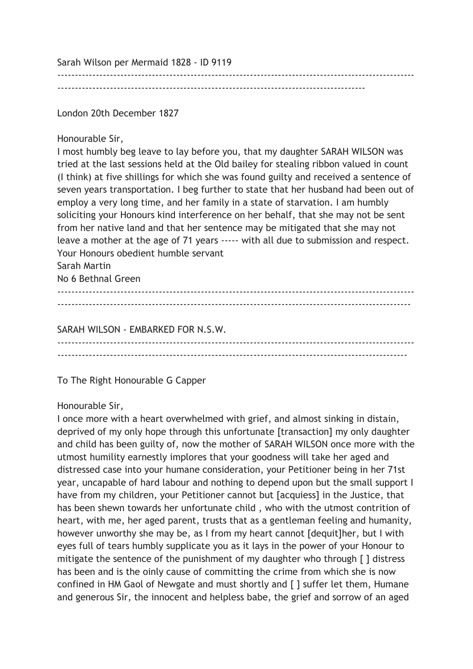Sarah Wilson per Mermaid 1828 - ID 9119

----------------------------------------------------------------------------------------

------------------------------------------------------------------------------------------------------

London 20th December 1827

Honourable Sir,

I most humbly beg leave to lay before you, that my daughter SARAH WILSON was tried at the last sessions held at the Old bailey for stealing ribbon valued in count (I think) at five shillings for which she was found guilty and received a sentence of seven years transportation. I beg further to state that her husband had been out of employ a very long time, and her family in a state of starvation. I am humbly soliciting your Honours kind interference on her behalf, that she may not be sent from her native land and that her sentence may be mitigated that she may not leave a mother at the age of 71 years ----- with all due to submission and respect. Your Honours obedient humble servant Sarah Martin

No 6 Bethnal Green

------------------------------------------------------------------------------------------------------ -----------------------------------------------------------------------------------------------------

SARAH WILSON - EMBARKED FOR N.S.W. ------------------------------------------------------------------------------------------------------ ----------------------------------------------------------------------------------------------------

To The Right Honourable G Capper

## Honourable Sir,

I once more with a heart overwhelmed with grief, and almost sinking in distain, deprived of my only hope through this unfortunate [transaction] my only daughter and child has been guilty of, now the mother of SARAH WILSON once more with the utmost humility earnestly implores that your goodness will take her aged and distressed case into your humane consideration, your Petitioner being in her 71st year, uncapable of hard labour and nothing to depend upon but the small support I have from my children, your Petitioner cannot but [acquiess] in the Justice, that has been shewn towards her unfortunate child , who with the utmost contrition of heart, with me, her aged parent, trusts that as a gentleman feeling and humanity, however unworthy she may be, as I from my heart cannot [dequit]her, but I with eyes full of tears humbly supplicate you as it lays in the power of your Honour to mitigate the sentence of the punishment of my daughter who through [ ] distress has been and is the oinly cause of committing the crime from which she is now confined in HM Gaol of Newgate and must shortly and [ ] suffer let them, Humane and generous Sir, the innocent and helpless babe, the grief and sorrow of an aged